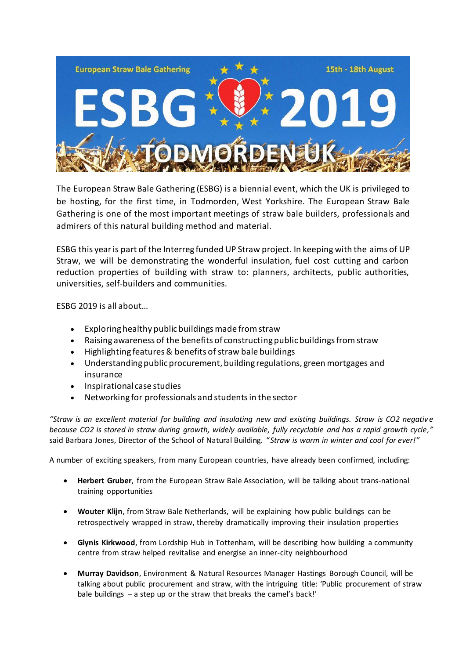

The European Straw Bale Gathering (ESBG) is a biennial event, which the UK is privileged to be hosting, for the first time, in Todmorden, West Yorkshire. The European Straw Bale Gathering is one of the most important meetings of straw bale builders, professionals and admirers of this natural building method and material.

ESBG this year is part of the Interreg funded UP Straw project. In keeping with the aims of UP Straw, we will be demonstrating the wonderful insulation, fuel cost cutting and carbon reduction properties of building with straw to: planners, architects, public authorities, universities, self-builders and communities.

ESBG 2019 is all about…

- Exploring healthy public buildings made from straw
- Raising awareness of the benefits of constructing public buildings from straw
- Highlighting features & benefits of straw bale buildings
- Understanding public procurement, building regulations, green mortgages and insurance
- Inspirational case studies
- Networking for professionals and students in the sector

*"Straw is an excellent material for building and insulating new and existing buildings. Straw is CO2 negativ e because CO2 is stored in straw during growth, widely available, fully recyclable and has a rapid growth cycle,"*  said Barbara Jones, Director of the School of Natural Building. "*Straw is warm in winter and cool for ever!"*

A number of exciting speakers, from many European countries, have already been confirmed, including:

- **Herbert Gruber**, from the European Straw Bale Association, will be talking about trans-national training opportunities
- **Wouter Klijn**, from Straw Bale Netherlands, will be explaining how public buildings can be retrospectively wrapped in straw, thereby dramatically improving their insulation properties
- **Glynis Kirkwood**, from Lordship Hub in Tottenham, will be describing how building a community centre from straw helped revitalise and energise an inner-city neighbourhood
- **Murray Davidson**, Environment & Natural Resources Manager Hastings Borough Council, will be talking about public procurement and straw, with the intriguing title: 'Public procurement of straw bale buildings – a step up or the straw that breaks the camel's back!'